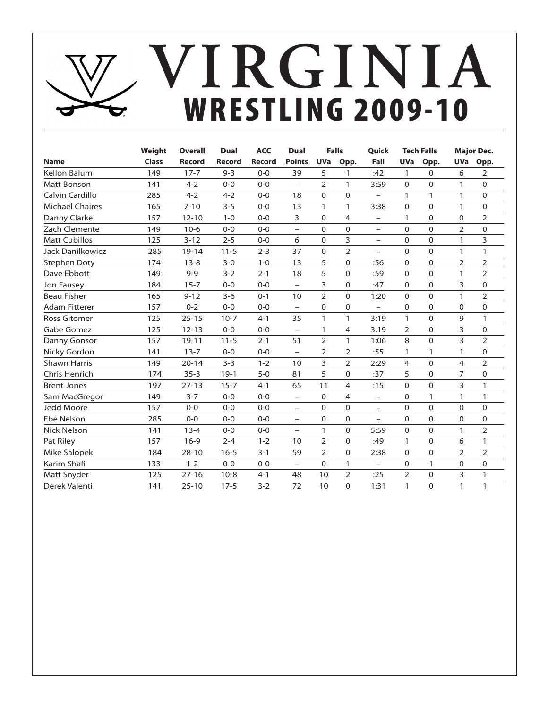# WRESTLING 2009-10 **Virginia**

|                        | Weight       | <b>Overall</b> | Dual     | <b>ACC</b>    | <b>Dual</b>              | <b>Falls</b>   |                | <b>Quick</b>             |                | <b>Tech Falls</b> |                | <b>Major Dec.</b> |
|------------------------|--------------|----------------|----------|---------------|--------------------------|----------------|----------------|--------------------------|----------------|-------------------|----------------|-------------------|
| <b>Name</b>            | <b>Class</b> | <b>Record</b>  | Record   | <b>Record</b> | <b>Points</b>            | <b>UVa</b>     | Opp.           | Fall                     | <b>UVa</b>     | Opp.              | <b>UVa</b>     | Opp.              |
| Kellon Balum           | 149          | $17 - 7$       | $9 - 3$  | $0 - 0$       | 39                       | 5              | 1              | :42                      | 1              | $\Omega$          | 6              | 2                 |
| <b>Matt Bonson</b>     | 141          | $4 - 2$        | $0 - 0$  | $0 - 0$       | $\overline{\phantom{0}}$ | 2              | $\mathbf{1}$   | 3:59                     | $\mathbf 0$    | $\Omega$          | $\mathbf{1}$   | $\mathbf 0$       |
| Calvin Cardillo        | 285          | $4 - 2$        | $4 - 2$  | $0 - 0$       | 18                       | $\Omega$       | $\Omega$       | $\overline{\phantom{0}}$ | 1              | 1                 | $\mathbf{1}$   | $\Omega$          |
| <b>Michael Chaires</b> | 165          | $7 - 10$       | $3 - 5$  | $0 - 0$       | 13                       | 1              | $\mathbf{1}$   | 3:38                     | 0              | $\mathbf 0$       | $\mathbf{1}$   | $\mathbf 0$       |
| Danny Clarke           | 157          | $12 - 10$      | $1 - 0$  | $0 - 0$       | 3                        | $\Omega$       | $\overline{4}$ | -                        | $\mathbf{1}$   | $\Omega$          | $\overline{0}$ | 2                 |
| Zach Clemente          | 149          | $10-6$         | $0 - 0$  | $0 - 0$       | $\overline{\phantom{0}}$ | $\mathbf 0$    | $\mathbf 0$    | $\overline{\phantom{0}}$ | 0              | $\mathbf 0$       | $\overline{2}$ | $\mathbf 0$       |
| <b>Matt Cubillos</b>   | 125          | $3 - 12$       | $2 - 5$  | $0 - 0$       | 6                        | $\mathbf 0$    | 3              | $\overline{\phantom{0}}$ | 0              | $\mathbf 0$       | $\mathbf{1}$   | 3                 |
| Jack Danilkowicz       | 285          | $19 - 14$      | $11 - 5$ | $2 - 3$       | 37                       | $\Omega$       | $\overline{2}$ | $\overline{\phantom{0}}$ | 0              | $\mathbf 0$       | $\mathbf{1}$   | $\mathbf{1}$      |
| Stephen Doty           | 174          | $13 - 8$       | $3 - 0$  | $1 - 0$       | 13                       | 5              | 0              | :56                      | 0              | $\mathbf 0$       | 2              | $\overline{2}$    |
| Dave Ebbott            | 149          | $9 - 9$        | $3 - 2$  | $2 - 1$       | 18                       | 5              | $\Omega$       | :59                      | $\Omega$       | $\Omega$          | $\mathbf{1}$   | $\overline{2}$    |
| Jon Fausey             | 184          | $15 - 7$       | $0 - 0$  | $0 - 0$       | $\overline{\phantom{0}}$ | 3              | $\Omega$       | :47                      | $\Omega$       | $\Omega$          | 3              | $\Omega$          |
| <b>Beau Fisher</b>     | 165          | $9 - 12$       | $3 - 6$  | $0 - 1$       | 10                       | $\overline{2}$ | $\Omega$       | 1:20                     | $\Omega$       | $\Omega$          | $\mathbf{1}$   | $\overline{2}$    |
| <b>Adam Fitterer</b>   | 157          | $0 - 2$        | $0 - 0$  | $0 - 0$       | $\overline{\phantom{0}}$ | $\Omega$       | $\Omega$       | $\overline{\phantom{0}}$ | $\Omega$       | $\Omega$          | $\overline{0}$ | $\mathbf 0$       |
| <b>Ross Gitomer</b>    | 125          | $25 - 15$      | $10-7$   | $4 - 1$       | 35                       | 1              | $\mathbf{1}$   | 3:19                     | 1              | $\Omega$          | 9              | 1                 |
| Gabe Gomez             | 125          | $12 - 13$      | $0 - 0$  | $0 - 0$       | $\equiv$                 | 1              | 4              | 3:19                     | $\overline{2}$ | $\Omega$          | 3              | $\Omega$          |
| Danny Gonsor           | 157          | $19 - 11$      | $11 - 5$ | $2 - 1$       | 51                       | 2              | 1              | 1:06                     | 8              | $\Omega$          | 3              | $\overline{2}$    |
| Nicky Gordon           | 141          | $13 - 7$       | $0 - 0$  | $0 - 0$       | $\overline{\phantom{0}}$ | 2              | $\overline{2}$ | :55                      | $\mathbf{1}$   | 1                 | $\mathbf{1}$   | $\mathbf 0$       |
| <b>Shawn Harris</b>    | 149          | $20 - 14$      | $3 - 3$  | $1 - 2$       | 10                       | 3              | $\overline{2}$ | 2:29                     | 4              | $\Omega$          | 4              | 2                 |
| Chris Henrich          | 174          | $35 - 3$       | $19-1$   | $5 - 0$       | 81                       | 5              | $\Omega$       | :37                      | 5              | $\mathbf 0$       | 7              | 0                 |
| <b>Brent Jones</b>     | 197          | $27 - 13$      | $15 - 7$ | $4 - 1$       | 65                       | 11             | 4              | :15                      | $\Omega$       | $\Omega$          | 3              | $\mathbf{1}$      |
| Sam MacGregor          | 149          | $3 - 7$        | $0 - 0$  | $0 - 0$       | $\qquad \qquad -$        | 0              | $\overline{4}$ | $\qquad \qquad -$        | 0              | 1                 | 1              | 1                 |
| Jedd Moore             | 157          | $0 - 0$        | $0 - 0$  | $0 - 0$       | $\overline{\phantom{0}}$ | 0              | $\mathbf 0$    | $\overline{\phantom{0}}$ | 0              | $\mathbf 0$       | $\mathbf 0$    | $\mathbf 0$       |
| Ebe Nelson             | 285          | $0 - 0$        | $0 - 0$  | $0 - 0$       | $\equiv$                 | $\Omega$       | $\Omega$       | $\overline{\phantom{0}}$ | $\Omega$       | $\Omega$          | $\overline{0}$ | $\mathbf 0$       |
| <b>Nick Nelson</b>     | 141          | $13 - 4$       | $0 - 0$  | $0 - 0$       | $\overline{\phantom{m}}$ | 1              | $\Omega$       | 5:59                     | 0              | $\mathbf 0$       | 1              | $\overline{2}$    |
| Pat Riley              | 157          | $16-9$         | $2 - 4$  | $1 - 2$       | 10                       | $\overline{2}$ | $\Omega$       | :49                      | $\mathbf{1}$   | $\mathbf 0$       | 6              | $\mathbf{1}$      |
| Mike Salopek           | 184          | $28 - 10$      | $16 - 5$ | $3 - 1$       | 59                       | $\overline{2}$ | $\mathbf 0$    | 2:38                     | 0              | $\mathbf 0$       | $\overline{2}$ | $\overline{2}$    |
| Karim Shafi            | 133          | $1 - 2$        | $0 - 0$  | $0 - 0$       | $\overline{\phantom{0}}$ | $\mathbf 0$    | $\mathbf{1}$   | $\overline{\phantom{0}}$ | 0              | 1                 | $\mathbf 0$    | $\mathbf 0$       |
| Matt Snyder            | 125          | $27 - 16$      | $10 - 8$ | $4 - 1$       | 48                       | 10             | $\overline{2}$ | :25                      | $\overline{2}$ | $\mathbf 0$       | 3              | $\mathbf{1}$      |
| Derek Valenti          | 141          | $25 - 10$      | $17 - 5$ | $3 - 2$       | 72                       | 10             | $\Omega$       | 1:31                     | $\mathbf{1}$   | $\Omega$          | $\mathbf{1}$   | 1                 |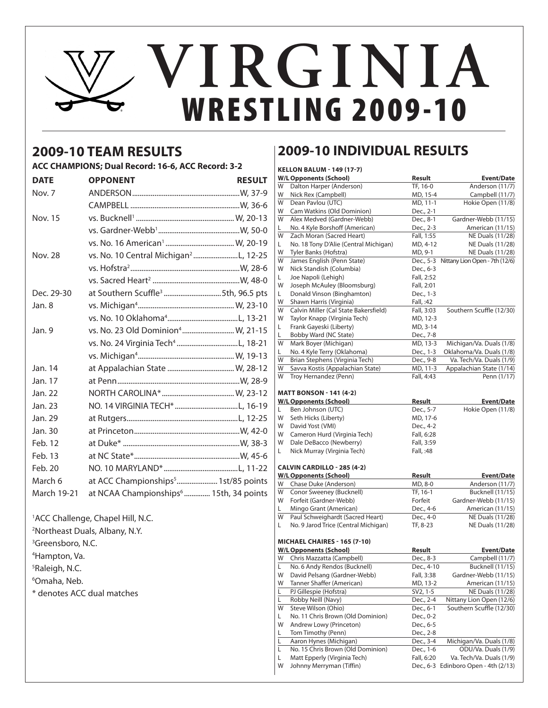# WRESTLING 2009-10 **Virginia**

## **2009-10 TEAM RESULTS**

### **ACC CHAMPIONS; Dual Record: 16-6, ACC Record: 3-2**

| <b>DATE</b>    | <b>OPPONENT</b>                                    | <b>RESULT</b> |
|----------------|----------------------------------------------------|---------------|
| Nov. 7         |                                                    |               |
|                |                                                    |               |
| <b>Nov. 15</b> |                                                    |               |
|                |                                                    |               |
|                |                                                    |               |
| <b>Nov. 28</b> | vs. No. 10 Central Michigan <sup>2</sup> L, 12-25  |               |
|                |                                                    |               |
|                |                                                    |               |
| Dec. 29-30     | at Southern Scuffle <sup>3</sup> 5th, 96.5 pts     |               |
| Jan. 8         |                                                    |               |
|                |                                                    |               |
| Jan. 9         | vs. No. 23 Old Dominion <sup>4</sup> W, 21-15      |               |
|                | vs. No. 24 Virginia Tech <sup>4</sup> L, 18-21     |               |
|                |                                                    |               |
| Jan. 14        |                                                    |               |
| Jan. 17        |                                                    |               |
| Jan. 22        |                                                    |               |
| Jan. 23        |                                                    |               |
| Jan. 29        |                                                    |               |
| Jan. 30        |                                                    |               |
| Feb. 12        |                                                    |               |
| Feb. 13        |                                                    |               |
| Feb. 20        |                                                    |               |
| March 6        | at ACC Championships <sup>5</sup> 1st/85 points    |               |
| March 19-21    | at NCAA Championships <sup>6</sup> 15th, 34 points |               |
|                |                                                    |               |

### 1 ACC Challenge, Chapel Hill, N.C.

<sup>3</sup>Greensboro, N.C.

- 4 Hampton, Va.
- 5 Raleigh, N.C.
- 6 Omaha, Neb.

\* denotes ACC dual matches

## **2009-10 INDIVIDUAL RESULTS**

|    | <b>KELLON BALUM - 149 (17-7)</b>      |                        |                                |
|----|---------------------------------------|------------------------|--------------------------------|
|    | <b>W/L Opponents (School)</b>         | Result                 | <b>Event/Date</b>              |
| W  | Dalton Harper (Anderson)              | TF, 16-0               | Anderson (11/7)                |
| W  | Nick Rex (Campbell)                   | MD, 15-4               | Campbell (11/7)                |
| W  | Dean Pavlou (UTC)                     | MD, 11-1               | Hokie Open (11/8)              |
| W  | Cam Watkins (Old Dominion)            | Dec., 2-1              |                                |
| W  | Alex Medved (Gardner-Webb)            | Dec., 8-1              | Gardner-Webb (11/15)           |
| L  | No. 4 Kyle Borshoff (American)        | Dec., 2-3              | American (11/15)               |
| W  | Zach Moran (Sacred Heart)             | Fall, 1:55             | NE Duals (11/28)               |
| L  | No. 18 Tony D'Alie (Central Michigan) | MD, 4-12               | NE Duals (11/28)               |
| W  | Tyler Banks (Hofstra)                 | MD, 9-1                | NE Duals (11/28)               |
| W  | James English (Penn State)            | Dec., 5-3              | Nittany Lion Open - 7th (12/6) |
| W  | Nick Standish (Columbia)              | Dec., 6-3              |                                |
| L  | Joe Napoli (Lehigh)                   | Fall, 2:52             |                                |
| W  | Joseph McAuley (Bloomsburg)           | Fall, 2:01             |                                |
| L  | Donald Vinson (Binghamton)            | Dec., 1-3              |                                |
| W  | Shawn Harris (Virginia)               | Fall, :42              |                                |
| W  | Calvin Miller (Cal State Bakersfield) | Fall, 3:03             | Southern Scuffle (12/30)       |
| W  | Taylor Knapp (Virginia Tech)          | MD, 12-3               |                                |
| L. | Frank Gayeski (Liberty)               | MD, 3-14               |                                |
| L  | Bobby Ward (NC State)                 | Dec., 7-8              |                                |
| W  | Mark Boyer (Michigan)                 | $\overline{MD}$ , 13-3 | Michigan/Va. Duals (1/8)       |
| L. | No. 4 Kyle Terry (Oklahoma)           | Dec., 1-3              | Oklahoma/Va. Duals (1/8)       |
| W  | Brian Stephens (Virginia Tech)        | Dec., 9-8              | Va. Tech/Va. Duals (1/9)       |
| W  | Savva Kostis (Appalachian State)      | MD, 11-3               | Appalachian State (1/14)       |
| W  | Troy Hernandez (Penn)                 | Fall, 4:43             | Penn (1/17)                    |
|    |                                       |                        |                                |
|    | <b>MATT BONSON - 141 (4-2)</b>        |                        |                                |
|    | <b>W/L Opponents (School)</b>         | <b>Result</b>          | <b>Event/Date</b>              |
| L. | Ben Johnson (UTC)                     | Dec., 5-7              | Hokie Open (11/8)              |
| W  | Seth Hicks (Liberty)                  | MD, 17-6               |                                |
| W  | David Yost (VMI)                      | Dec., 4-2              |                                |
| W  | Cameron Hurd (Virginia Tech)          | Fall, 6:28             |                                |
| W  | Dale DeBacco (Newberry)               | Fall, 3:59             |                                |
| L  | Nick Murray (Virginia Tech)           | Fall, :48              |                                |
|    | <b>CALVIN CARDILLO - 285 (4-2)</b>    |                        |                                |
|    | <b>W/L Opponents (School)</b>         | Result                 | <b>Event/Date</b>              |
| W  | Chase Duke (Anderson)                 | MD, 8-0                | Anderson (11/7)                |
| W  | Conor Sweeney (Bucknell)              | TF, 16-1               | Bucknell (11/15)               |
| W  | Forfeit (Gardner-Webb)                | Forfeit                | Gardner-Webb (11/15)           |
| L  | Mingo Grant (American)                | Dec., 4-6              | American (11/15)               |
| W  | Paul Schweighardt (Sacred Heart)      | Dec., 4-0              | NE Duals (11/28)               |
| L. | No. 9 Jarod Trice (Central Michigan)  | TF, 8-23               | NE Duals (11/28)               |
|    | MICHAEL CHAIRES - 165 (7-10)          |                        |                                |
|    | <b>W/L Opponents (School)</b>         | Result                 | <b>Event/Date</b>              |
| W  | Chris Mazzatta (Campbell)             | Dec., 8-3              | Campbell (11/7)                |
| L  | No. 6 Andy Rendos (Bucknell)          | Dec., 4-10             | Bucknell (11/15)               |
| W  | David Pelsang (Gardner-Webb)          | Fall, 3:38             | Gardner-Webb (11/15)           |
| W  | Tanner Shaffer (American)             | MD, 13-2               | American (11/15)               |
| L  | PJ Gillespie (Hofstra)                | SV2, 1-5               | NE Duals (11/28)               |
| L  | Robby Neill (Navy)                    | Dec., 2-4              | Nittany Lion Open (12/6)       |
| W  | Steve Wilson (Ohio)                   | Dec., 6-1              | Southern Scuffle (12/30)       |
| L  | No. 11 Chris Brown (Old Dominion)     | Dec., 0-2              |                                |
| W  | Andrew Lowy (Princeton)               | Dec., 6-5              |                                |
| L  | Tom Timothy (Penn)                    | Dec., 2-8              |                                |
| L  | Aaron Hynes (Michigan)                | Dec., 3-4              | Michigan/Va. Duals (1/8)       |
| Г  | No. 15 Chris Brown (Old Dominion)     | Dec., 1-6              | ODU/Va. Duals (1/9)            |
| L  | Matt Epperly (Virginia Tech)          | Fall, 6:20             | Va. Tech/Va. Duals (1/9)       |
| W  | Johnny Merryman (Tiffin)              | Dec., 6-3              | Edinboro Open - 4th (2/13)     |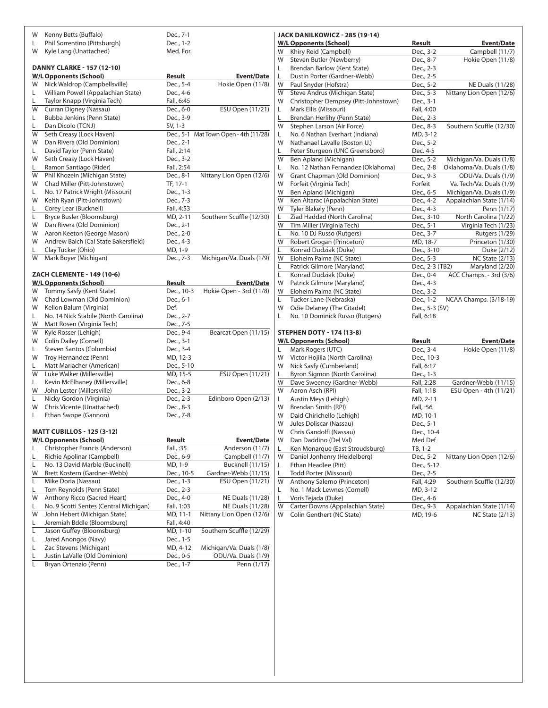| W  | Kenny Betts (Buffalo)                  | Dec., 7-1     |                                       |
|----|----------------------------------------|---------------|---------------------------------------|
| L  | Phil Sorrentino (Pittsburgh)           | Dec., 1-2     |                                       |
| W  | Kyle Lang (Unattached)                 | Med. For.     |                                       |
|    |                                        |               |                                       |
|    | <b>DANNY CLARKE - 157 (12-10)</b>      |               |                                       |
|    | <b>W/L Opponents (School)</b>          | Result        | Event/Date                            |
| W  | Nick Waldrop (Campbellsville)          | Dec., 5-4     | Hokie Open (11/8)                     |
| L. | William Powell (Appalachian State)     | Dec., 4-6     |                                       |
| L  | Taylor Knapp (Virginia Tech)           | Fall, 6:45    |                                       |
| W  | Curran Digney (Nassau)                 | Dec., 6-0     | ESU Open (11/21)                      |
| L. | Bubba Jenkins (Penn State)             | Dec., 3-9     |                                       |
| L. | Dan Dicolo (TCNJ)                      | SV, 1-3       |                                       |
| W  | Seth Creasy (Lock Haven)               |               | Dec., 5-1 Mat Town Open - 4th (11/28) |
| W  | Dan Rivera (Old Dominion)              | Dec., 2-1     |                                       |
| L. | David Taylor (Penn State)              | Fall, 2:14    |                                       |
| W  | Seth Creasy (Lock Haven)               | Dec., 3-2     |                                       |
| L. | Ramon Santiago (Rider)                 | Fall, 2:54    |                                       |
| W  | Phil Khozein (Michigan State)          | Dec., 8-1     | Nittany Lion Open (12/6)              |
| W  | Chad Miller (Pitt-Johnstown)           | TF, 17-1      |                                       |
| L. | No. 17 Patrick Wright (Missouri)       | Dec., 1-3     |                                       |
| W  | Keith Ryan (Pitt-Johnstown)            | Dec., 7-3     |                                       |
| L. | Corey Lear (Bucknell)                  | Fall, 4:53    |                                       |
| L. | Bryce Busler (Bloomsburg)              | MD, 2-11      | Southern Scuffle (12/30)              |
| W  | Dan Rivera (Old Dominion)              | Dec., 2-1     |                                       |
| W  | Aaron Keeton (George Mason)            | Dec., 2-0     |                                       |
| W  | Andrew Balch (Cal State Bakersfield)   | Dec., 4-3     |                                       |
| L. | Clay Tucker (Ohio)                     | MD, 1-9       |                                       |
| W  |                                        |               |                                       |
|    | Mark Boyer (Michigan)                  | Dec., 7-3     | Michigan/Va. Duals (1/9)              |
|    | ZACH CLEMENTE - 149 (10-6)             |               |                                       |
|    | <b>W/L Opponents (School)</b>          | <b>Result</b> | Event/Date                            |
| W  | Tommy Sasfy (Kent State)               | Dec., 10-3    | Hokie Open - 3rd (11/8)               |
| W  | Chad Lowman (Old Dominion)             | Dec., 6-1     |                                       |
| W  | Kellon Balum (Virginia)                | Def.          |                                       |
|    |                                        |               |                                       |
| L. | No. 14 Nick Stabile (North Carolina)   | Dec., 2-7     |                                       |
| W  | Matt Rosen (Virginia Tech)             | Dec., 7-5     |                                       |
| W  | Kyle Rosser (Lehigh)                   | Dec., 9-4     | Bearcat Open (11/15)                  |
| W  | Colin Dailey (Cornell)                 | Dec., 3-1     |                                       |
| L. | Steven Santos (Columbia)               | Dec., 3-4     |                                       |
| W  | Troy Hernandez (Penn)                  | MD, 12-3      |                                       |
| L  | Matt Mariacher (American)              | Dec., 5-10    |                                       |
| W  | Luke Walker (Millersville)             | MD, 15-5      | ESU Open (11/21)                      |
| L. | Kevin McElhaney (Millersville)         | Dec., 6-8     |                                       |
| W  | John Lester (Millersville)             | Dec., 3-2     |                                       |
| L. | Nicky Gordon (Virginia)                | Dec., 2-3     | Edinboro Open (2/13)                  |
| W  | Chris Vicente (Unattached)             | Dec., 8-3     |                                       |
| L  | Ethan Swope (Gannon)                   | Dec., 7-8     |                                       |
|    |                                        |               |                                       |
|    | <b>MATT CUBILLOS - 125 (3-12)</b>      |               |                                       |
|    | <b>W/L Opponents (School)</b>          | <b>Result</b> | <b>Event/Date</b>                     |
| L  | Christopher Francis (Anderson)         | Fall, :35     | Anderson (11/7)                       |
| L  | Richie Apolinar (Campbell)             | Dec., 6-9     | Campbell (11/7)                       |
| L  | No. 13 David Marble (Bucknell)         | MD, 1-9       | Bucknell (11/15)                      |
| W  | Brett Kostern (Gardner-Webb)           | Dec., 10-5    | Gardner-Webb (11/15)                  |
| L  | Mike Doria (Nassau)                    | Dec., 1-3     | ESU Open (11/21)                      |
| L  | Tom Reynolds (Penn State)              | Dec., 2-3     |                                       |
| W  | <b>Anthony Ricco (Sacred Heart)</b>    | Dec., 4-0     | NE Duals (11/28)                      |
| L  | No. 9 Scotti Sentes (Central Michigan) | Fall, 1:03    | NE Duals (11/28)                      |
| W  | John Hebert (Michigan State)           | MD, 11-1      | Nittany Lion Open (12/6)              |
| L  | Jeremiah Bddle (Bloomsburg)            | Fall, 4:40    |                                       |
| Г  | Jason Guffey (Bloomsburg)              | MD, 1-10      | Southern Scuffle (12/29)              |
| L  | Jared Anongos (Navy)                   | Dec., 1-5     |                                       |
| Г  | Zac Stevens (Michigan)                 | MD, 4-12      | Michigan/Va. Duals (1/8)              |
| L  | Justin LaValle (Old Dominion)          | Dec., 0-5     | ODU/Va. Duals (1/9)                   |
| Г  | Bryan Ortenzio (Penn)                  | Dec., 1-7     | Penn (1/17)                           |
|    |                                        |               |                                       |

|    | JACK DANILKOWICZ - 285 (19-14)       |                 |                          |
|----|--------------------------------------|-----------------|--------------------------|
|    | <b>W/L Opponents (School)</b>        | Result          | Event/Date               |
| W  | Khiry Reid (Campbell)                | Dec., 3-2       | Campbell (11/7)          |
| W  | Steven Butler (Newberry)             | Dec., 8-7       | Hokie Open (11/8)        |
| L  | Brendan Barlow (Kent State)          | Dec., 2-3       |                          |
| L  | Dustin Porter (Gardner-Webb)         | Dec., 2-5       |                          |
| W  | Paul Snyder (Hofstra)                | Dec., 5-2       | NE Duals (11/28)         |
| W  | Steve Andrus (Michigan State)        | Dec., 5-3       | Nittany Lion Open (12/6) |
| W  | Christopher Dempsey (Pitt-Johnstown) | Dec., 3-1       |                          |
| L  | Mark Ellis (Missouri)                | Fall, 4:00      |                          |
| L  | Brendan Herlihy (Penn State)         | Dec., 2-3       |                          |
| W  | Stephen Larson (Air Force)           | Dec., 8-3       | Southern Scuffle (12/30) |
| L. | No. 6 Nathan Everhart (Indiana)      | MD, 3-12        |                          |
| W  | Nathanael Lavalle (Boston U.)        | Dec., 5-2       |                          |
| L  | Peter Sturgeon (UNC Greensboro)      | Dec. 4-5        |                          |
| W  | Ben Apland (Michigan)                | Dec., 5-2       | Michigan/Va. Duals (1/8) |
| L  | No. 12 Nathan Fernandez (Oklahoma)   | Dec., 2-8       | Oklahoma/Va. Duals (1/8) |
| W  | Grant Chapman (Old Dominion)         | Dec., 9-3       | ODU/Va. Duals (1/9)      |
| W  | Forfeit (Virginia Tech)              | Forfeit         | Va. Tech/Va. Duals (1/9) |
| W  | Ben Apland (Michigan)                | Dec., 6-5       | Michigan/Va. Duals (1/9) |
| W  | Ken Altarac (Appalachian State)      | Dec., 4-2       | Appalachian State (1/14) |
| W  | Tyler Blakely (Penn)                 | Dec., 4-3       | Penn (1/17)              |
| L  | Ziad Haddad (North Carolina)         | Dec., 3-10      | North Carolina (1/22)    |
| W  | Tim Miller (Virginia Tech)           | Dec., 5-1       | Virginia Tech (1/23)     |
| L  | No. 10 DJ Russo (Rutgers)            | Dec., 3-7       | Rutgers (1/29)           |
| W  | Robert Grogan (Princeton)            | MD, 18-7        | Princeton (1/30)         |
| L  | Konrad Dudziak (Duke)                | Dec., 3-10      | Duke (2/12)              |
| W  | Eloheim Palma (NC State)             | Dec., 5-3       | <b>NC State (2/13)</b>   |
| L  | Patrick Gilmore (Maryland)           | Dec., 2-3 (TB2) | Maryland (2/20)          |
| L  | Konrad Dudziak (Duke)                | Dec., 0-4       | ACC Champs. - 3rd (3/6)  |
| W  | Patrick Gilmore (Maryland)           | Dec., 4-3       |                          |
| W  | Eloheim Palma (NC State)             | Dec., 3-2       |                          |
| L  | Tucker Lane (Nebraska)               | Dec., 1-2       | NCAA Champs. (3/18-19)   |
| W  | Odie Delaney (The Citadel)           | Dec., 5-3 (SV)  |                          |
| L  | No. 10 Dominick Russo (Rutgers)      | Fall, 6:18      |                          |
|    |                                      |                 |                          |
|    | <b>STEPHEN DOTY - 174 (13-8)</b>     |                 |                          |
|    | <b>W/L Opponents (School)</b>        | Result          | Event/Date               |
| L. | Mark Rogers (UTC)                    | Dec., 3-4       | Hokie Open (11/8)        |
| W  | Victor Hojilla (North Carolina)      | Dec., 10-3      |                          |
| W  | Nick Sasfy (Cumberland)              | Fall, 6:17      |                          |
| L  | Byron Sigmon (North Carolina)        | Dec., 1-3       |                          |
| W  | Dave Sweeney (Gardner-Webb)          | Fall, 2:28      | Gardner-Webb (11/15)     |
| W  | Aaron Asch (RPI)                     | Fall, 1:18      | ESU Open - 4th (11/21)   |
| L  | Austin Meys (Lehigh)                 | MD, 2-11        |                          |
| W  | Brendan Smith (RPI)                  | Fall, :56       |                          |
| W  | Daid Chirichello (Lehigh)            | MD, 10-1        |                          |
| W  | Jules Doliscar (Nassau)              | Dec., 5-1       |                          |
| W  | Chris Gandolfi (Nassau)              | Dec., 10-4      |                          |
| W  | Dan Daddino (Del Val)                | Med Def         |                          |
| L  | Ken Monarque (East Stroudsburg)      | TB, 1-2         |                          |
| W  | Daniel Jonhenry (Heidelberg)         | Dec., 5-2       | Nittany Lion Open (12/6) |
| L  | Ethan Headlee (Pitt)                 | Dec., 5-12      |                          |
| L  | Todd Porter (Missouri)               | Dec., 2-5       |                          |
| W  | Anthony Salerno (Princeton)          | Fall, 4:29      | Southern Scuffle (12/30) |
| L  | No. 1 Mack Lewnes (Cornell)          | MD, 3-12        |                          |
| L  | Voris Tejada (Duke)                  | Dec., 4-6       |                          |
| W  | Carter Downs (Appalachian State)     | Dec., 9-3       | Appalachian State (1/14) |
| W  | Colin Genthert (NC State)            | MD, 19-6        | <b>NC State (2/13)</b>   |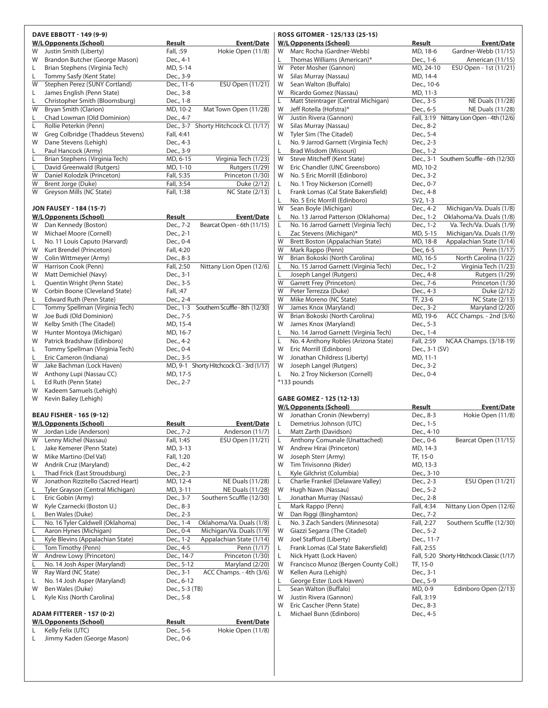|    | DAVE EBBOTT - 149 (9-9)                                           |                |                                           |
|----|-------------------------------------------------------------------|----------------|-------------------------------------------|
|    | <b>W/L Opponents (School)</b>                                     | <u>Result</u>  | <b>Event/Date</b>                         |
| W  | Justin Smith (Liberty)                                            | Fall, :59      | Hokie Open (11/8)                         |
| W  | Brandon Butcher (George Mason)                                    | Dec., 4-1      |                                           |
| L. | Brian Stephens (Virginia Tech)                                    | MD, 5-14       |                                           |
| L. | Tommy Sasfy (Kent State)                                          | Dec., 3-9      |                                           |
| W  | Stephen Perez (SUNY Cortland)                                     | Dec., 11-6     | ESU Open (11/21)                          |
| L. | James English (Penn State)                                        | Dec., 3-8      |                                           |
| L. | Christopher Smith (Bloomsburg)                                    | Dec., 1-8      |                                           |
| W  | Bryan Smith (Clarion)                                             | MD, 10-2       | Mat Town Open (11/28)                     |
|    |                                                                   |                |                                           |
| L. | Chad Lowman (Old Dominion)                                        | Dec., 4-7      |                                           |
| L  | Rollie Peterkin (Penn)                                            |                | Dec., 3-7 Shorty Hitchcock Cl. (1/17)     |
| W  | Greg Colbridge (Thaddeus Stevens)                                 | Fall, 4:41     |                                           |
| W  | Dane Stevens (Lehigh)                                             | Dec., 4-3      |                                           |
| L. | Paul Hancock (Army)                                               | Dec., 3-9      |                                           |
| L  | Brian Stephens (Virginia Tech)                                    | MD, 6-15       | Virginia Tech (1/23)                      |
| L  | David Greenwald (Rutgers)                                         | MD, 1-10       | <b>Rutgers (1/29)</b>                     |
| W  | Daniel Kolodzik (Princeton)                                       | Fall, 5:35     | Princeton (1/30)                          |
| W  | Brent Jorge (Duke)                                                | Fall, 3:54     | Duke (2/12)                               |
| W  | Greyson Mills (NC State)                                          | Fall, 1:38     | <b>NC State (2/13)</b>                    |
|    | <b>JON FAUSEY - 184 (15-7)</b>                                    |                |                                           |
|    | <b>W/L Opponents (School)</b>                                     | Result         | <b>Event/Date</b>                         |
| W  | Dan Kennedy (Boston)                                              | Dec., 7-2      | Bearcat Open - 6th (11/15)                |
| W  | Michael Moore (Cornell)                                           | Dec., 2-1      |                                           |
|    |                                                                   |                |                                           |
| L. | No. 11 Louis Caputo (Harvard)                                     | Dec., 0-4      |                                           |
| W  | Kurt Brendel (Princeton)                                          | Fall, 4:20     |                                           |
| W  | Colin Wittmeyer (Army)                                            | Dec., 8-3      |                                           |
| W  | Harrison Cook (Penn)                                              | Fall, 2:50     | Nittany Lion Open (12/6)                  |
| W  | Matt Demichiel (Navy)                                             | Dec., 3-1      |                                           |
| L. | Quentin Wright (Penn State)                                       | Dec., 3-5      |                                           |
| W  | Corbin Boone (Cleveland State)                                    | Fall, :47      |                                           |
| L. | Edward Ruth (Penn State)                                          | Dec., 2-4      |                                           |
| L  | Tommy Spellman (Virginia Tech)                                    | Dec., 1-3      | Southern Scuffle - 8th (12/30)            |
| W  | Joe Budi (Old Dominion)                                           | Dec., 7-5      |                                           |
| W  | Kelby Smith (The Citadel)                                         | MD, 15-4       |                                           |
| W  |                                                                   |                |                                           |
|    | Hunter Montoya (Michigan)                                         | MD, 16-7       |                                           |
| W  | Patrick Bradshaw (Edinboro)                                       | Dec., 4-2      |                                           |
| L. | Tommy Spellman (Virginia Tech)                                    | Dec., 0-4      |                                           |
| L. | Eric Cameron (Indiana)                                            | Dec., 3-5      |                                           |
| W  | Jake Bachman (Lock Haven)                                         |                | MD, 9-1 Shorty Hitchcock Cl. - 3rd (1/17) |
| W  | Anthony Lupi (Nassau CC)                                          | MD, 17-5       |                                           |
| L. | Ed Ruth (Penn State)                                              | Dec., 2-7      |                                           |
| W  | Kadeem Samuels (Lehigh)                                           |                |                                           |
| W  | Kevin Bailey (Lehigh)                                             |                |                                           |
|    | <b>BEAU FISHER - 165 (9-12)</b>                                   |                |                                           |
|    | <b>W/L Opponents (School)</b>                                     | Result         | <b>Event/Date</b>                         |
|    | W Jordan Lide (Anderson)                                          | Dec., 7-2      | Anderson (11/7)                           |
| W  | Lenny Michel (Nassau)                                             | Fall, 1:45     | ESU Open (11/21)                          |
|    |                                                                   |                |                                           |
| L  | Jake Kemerer (Penn State)                                         | MD, 3-13       |                                           |
| W  | Mike Martino (Del Val)                                            | Fall, 1:20     |                                           |
| W  | Andrik Cruz (Maryland)                                            | Dec., 4-2      |                                           |
| L. | Thad Frick (East Stroudsburg)                                     | Dec., 2-3      |                                           |
| W  | Jonathon Rizzitello (Sacred Heart)                                | MD, 12-4       | NE Duals (11/28)                          |
| L  | Tyler Grayson (Central Michigan)                                  | MD, 3-11       | <b>NE Duals (11/28)</b>                   |
| L  | Eric Gobin (Army)                                                 | Dec., 3-7      | Southern Scuffle (12/30)                  |
| W  | Kyle Czarnecki (Boston U.)                                        | Dec., 8-3      |                                           |
| L  | Ben Wales (Duke)                                                  | Dec., 2-3      |                                           |
| L  | No. 16 Tyler Caldwell (Oklahoma)                                  | Dec., 1-4      | Oklahoma/Va. Duals (1/8)                  |
|    |                                                                   |                |                                           |
| L  | Aaron Hynes (Michigan)                                            | Dec., 0-4      | Michigan/Va. Duals (1/9)                  |
| L  | Kyle Blevins (Appalachian State)                                  | Dec., 1-2      | Appalachian State (1/14)                  |
| L  | Tom Timothy (Penn)                                                | Dec., 4-5      | Penn (1/17)                               |
| W  | Andrew Lowy (Princeton)                                           | Dec., 14-7     | Princeton (1/30)                          |
| L  | No. 14 Josh Asper (Maryland)                                      | Dec., 5-12     | Maryland (2/20)                           |
| W  | Ray Ward (NC State)                                               | Dec., 3-1      | ACC Champs. - 4th (3/6)                   |
| L  | No. 14 Josh Asper (Maryland)                                      | Dec., 6-12     |                                           |
| W  | Ben Wales (Duke)                                                  | Dec., 5-3 (TB) |                                           |
| L  | Kyle Kiss (North Carolina)                                        | Dec., 5-8      |                                           |
|    |                                                                   |                |                                           |
|    | <b>ADAM FITTERER - 157 (0-2)</b><br><b>W/L Opponents (School)</b> | <u>Result</u>  | <u>Event/Date</u>                         |
| L  | Kelly Felix (UTC)                                                 | Dec., 5-6      | Hokie Open (11/8)                         |
| L  | Jimmy Kaden (George Mason)                                        | Dec., 0-6      |                                           |
|    |                                                                   |                |                                           |
|    |                                                                   |                |                                           |

|    | ROSS GITOMER - 125/133 (25-15)        |                |                                            |
|----|---------------------------------------|----------------|--------------------------------------------|
|    | <b>W/L Opponents (School)</b>         | <u>Result</u>  | Event/Date                                 |
| W  | Marc Rocha (Gardner-Webb)             | MD, 18-6       | Gardner-Webb (11/15)                       |
| L. | Thomas Williams (American)*           | Dec., 1-6      | American (11/15)                           |
| W  | Peter Mosher (Gannon)                 | MD, 24-10      | ESU Open - 1st (11/21)                     |
| W  | Silas Murray (Nassau)                 | MD, 14-4       |                                            |
| W  | Sean Walton (Buffalo)                 | Dec., 10-6     |                                            |
| W  | Ricardo Gomez (Nassau)                | MD, 11-3       |                                            |
| L  | Matt Steintrager (Central Michigan)   | Dec., 3-5      | NE Duals (11/28)                           |
| W  | Jeff Rotella (Hofstra)*               | Dec., 6-5      | NE Duals (11/28)                           |
| W  | Justin Rivera (Gannon)                | Fall, 3:19     | Nittany Lion Open - 4th (12/6)             |
| W  | Silas Murray (Nassau)                 | Dec., 8-2      |                                            |
| W  |                                       |                |                                            |
|    | Tyler Sim (The Citadel)               | Dec., 5-4      |                                            |
| L  | No. 9 Jarrod Garnett (Virginia Tech)  | Dec., 2-3      |                                            |
| L. | Brad Wisdom (Missouri)                | Dec., 1-2      |                                            |
| W  | Steve Mitcheff (Kent State)           |                | Dec., 3-1 Southern Scuffle - 6th (12/30)   |
| W  | Eric Chandler (UNC Greensboro)        | MD, 10-2       |                                            |
| W  | No. 5 Eric Morrill (Edinboro)         | Dec., 3-2      |                                            |
| L  | No. 1 Troy Nickerson (Cornell)        | Dec., 0-7      |                                            |
| L  | Frank Lomas (Cal State Bakersfield)   | Dec., 4-8      |                                            |
| L  | No. 5 Eric Morrill (Edinboro)         | SV2, 1-3       |                                            |
| W  | Sean Boyle (Michigan)                 | Dec., 4-2      | Michigan/Va. Duals (1/8)                   |
| L  | No. 13 Jarrod Patterson (Oklahoma)    | Dec., 1-2      | Oklahoma/Va. Duals (1/8)                   |
| L  | No. 16 Jarrod Garnett (Virginia Tech) | Dec., 1-2      | Va. Tech/Va. Duals (1/9)                   |
| L  | Zac Stevens (Michigan)*               | MD, 5-15       | Michigan/Va. Duals (1/9)                   |
| W  | Brett Boston (Appalachian State)      | MD, 18-8       | Appalachian State (1/14)                   |
| W  | Mark Rappo (Penn)                     | Dec, 6-5       | Penn (1/17)                                |
| W  | Brian Bokoski (North Carolina)        | MD, 16-5       | North Carolina (1/22)                      |
| L  | No. 15 Jarrod Garnett (Virginia Tech) | Dec., 1-2      | Virginia Tech (1/23)                       |
| L  | Joseph Langel (Rutgers)               | Dec., 4-8      | Rutgers (1/29)                             |
| W  | Garrett Frey (Princeton)              | Dec., 7-6      | Princeton (1/30                            |
| W  | Peter Terrezza (Duke)                 | Dec., 4-3      | Duke (2/12)                                |
| W  | Mike Moreno (NC State)                | TF, 23-6       | <b>NC State (2/13)</b>                     |
| W  |                                       |                |                                            |
|    | James Knox (Maryland)                 | Dec., 3-2      | Maryland (2/20)                            |
| W  | Brian Bokoski (North Carolina)        | MD, 19-6       | ACC Champs. - 2nd (3/6)                    |
| W  | James Knox (Maryland)                 | Dec., 5-3      |                                            |
| L. | No. 14 Jarrod Garnett (Virginia Tech) | Dec., 1-4      |                                            |
| L  | No. 4 Anthony Robles (Arizona State)  | Fall, 2:59     | NCAA Champs. (3/18-19)                     |
| W  | Eric Morrill (Edinboro)               | Dec., 3-1 (SV) |                                            |
| W  | Jonathan Childress (Liberty)          | MD, 11-1       |                                            |
| W  | Joseph Langel (Rutgers)               | Dec., 3-2      |                                            |
| L  | No. 2 Troy Nickerson (Cornell)        | Dec., 0-4      |                                            |
|    | *133 pounds                           |                |                                            |
|    |                                       |                |                                            |
|    | GABE GOMEZ - 125 (12-13)              |                |                                            |
|    | <b>W/L Opponents (School)</b>         | Result         | Event/Date                                 |
| W  | Jonathan Cronin (Newberry)            | Dec., 8-3      | Hokie Open (11/8)                          |
| L  | Demetrius Johnson (UTC)               | Dec., 1-5      |                                            |
| L. | Matt Zarth (Davidson)                 | Dec., 4-10     |                                            |
| L  | Anthony Comunale (Unattached)         | Dec., 0-6      | Bearcat Open (11/15)                       |
| W  | Andrew Hirai (Princeton)              | MD, 14-3       |                                            |
| W  | Joseph Sterr (Army)                   | TF, 15-0       |                                            |
| W  | Tim Trivisonno (Rider)                | MD, 13-3       |                                            |
|    |                                       |                |                                            |
| L  | Kyle Gilchrist (Columbia)             | Dec., 3-10     |                                            |
| L  | Charlie Frankel (Delaware Valley)     | Dec., 2-3      | <b>ESU Open (11/21)</b>                    |
| W  | Hugh Nawn (Nassau)                    | Dec., 5-2      |                                            |
| L  | Jonathan Murray (Nassau)              | Dec., 2-8      |                                            |
| L  | Mark Rappo (Penn)                     | Fall, 4:34     | Nittany Lion Open (12/6)                   |
| W  | Dan Riggi (Binghamton)                | Dec., 7-2      |                                            |
| L  | No. 3 Zach Sanders (Minnesota)        | Fall, 2:27     | Southern Scuffle (12/30)                   |
| W  | Giazzi Segarra (The Citadel)          | Dec., 5-2      |                                            |
| W  | Joel Stafford (Liberty)               | Dec., 11-7     |                                            |
| L. | Frank Lomas (Cal State Bakersfield)   | Fall, 2:55     |                                            |
| L  | Nick Hyatt (Lock Haven)               |                | Fall, 5:20 Shorty Hitchcock Classic (1/17) |
| W  | Francisco Munoz (Bergen County Coll.) | TF, 15-0       |                                            |
| W  | Kellen Aura (Lehigh)                  | Dec., 3-1      |                                            |
| L  | George Ester (Lock Haven)             | Dec., 5-9      |                                            |
| L  | Sean Walton (Buffalo)                 | MD, 0-9        | Edinboro Open (2/13)                       |
| W  | Justin Rivera (Gannon)                | Fall, 3:19     |                                            |
| W  | Eric Cascher (Penn State)             | Dec., 8-3      |                                            |
| L  | Michael Bunn (Edinboro)               | Dec., 4-5      |                                            |
|    |                                       |                |                                            |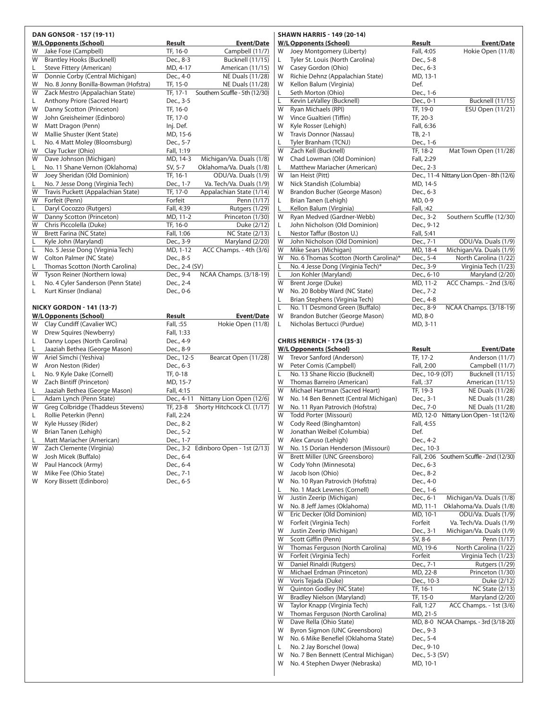|         | <b>DAN GONSOR - 157 (19-11)</b>      |                                                  |  |
|---------|--------------------------------------|--------------------------------------------------|--|
|         | <b>W/L Opponents (School)</b>        | Result<br><b>Event/Date</b>                      |  |
| W       | Jake Fose (Campbell)                 | TF, 16-0<br>Campbell (11/7)                      |  |
| W       | <b>Brantley Hooks (Bucknell)</b>     | Dec., 8-3<br><b>Bucknell (11/15)</b>             |  |
| L       | Steve Fittery (American)             | MD, 4-17<br>American (11/15)                     |  |
| W       | Donnie Corby (Central Michigan)      | Dec., 4-0<br><b>NE Duals (11/28)</b>             |  |
| W       | No. 8 Jonny Bonilla-Bowman (Hofstra) | TF, 15-0<br>NE Duals (11/28)                     |  |
| W       | Zack Mestro (Appalachian State)      | Southern Scuffle - 5th (12/30)<br>TF, 17-1       |  |
| L.      | Anthony Priore (Sacred Heart)        | Dec., 3-5                                        |  |
| W       | Danny Scotton (Princeton)            | TF, 16-0                                         |  |
| W       | John Greisheimer (Edinboro)          | TF, 17-0                                         |  |
| W       | Matt Dragon (Penn)                   | Inj. Def.                                        |  |
| W       | Mallie Shuster (Kent State)          | MD, 15-6                                         |  |
| L.      | No. 4 Matt Moley (Bloomsburg)        | Dec., 5-7                                        |  |
| W       | Clay Tucker (Ohio)                   | Fall, 1:19                                       |  |
| W       | Dave Johnson (Michigan)              | MD, 14-3<br>Michigan/Va. Duals (1/8)             |  |
| L.      | No. 11 Shane Vernon (Oklahoma)       | SV, 5-7<br>Oklahoma/Va. Duals (1/8)              |  |
| W       | Joey Sheridan (Old Dominion)         | ODU/Va. Duals (1/9)<br>TF, 16-1                  |  |
| L       | No. 7 Jesse Dong (Virginia Tech)     | Va. Tech/Va. Duals (1/9)<br>Dec., 1-7            |  |
| W       | Travis Puckett (Appalachian State)   | Appalachian State (1/14)<br>TF, 17-0             |  |
| W       | Forfeit (Penn)                       | Forfeit<br>Penn (1/17)                           |  |
| L       | Daryl Cocozzo (Rutgers)              | Fall, 4:39<br><b>Rutgers (1/29)</b>              |  |
| W       | Danny Scotton (Princeton)            | MD, 11-2<br>Princeton (1/30)                     |  |
| W       | Chris Piccolella (Duke)              | TF, 16-0<br>Duke (2/12)                          |  |
| W       | Brett Farina (NC State)              | <b>NC State (2/13)</b><br>Fall, 1:06             |  |
|         | Kyle John (Maryland)                 | Maryland (2/20)                                  |  |
| L.<br>L | No. 5 Jesse Dong (Virginia Tech)     | Dec., 3-9                                        |  |
| W       | Colton Palmer (NC State)             | ACC Champs. - 4th (3/6)<br>MD, 1-12<br>Dec., 8-5 |  |
|         |                                      |                                                  |  |
| L<br>W  | Thomas Scotton (North Carolina)      | Dec., 2-4 (SV)                                   |  |
|         | Tyson Reiner (Northern Iowa)         | NCAA Champs. (3/18-19)<br>Dec., 9-4              |  |
| L       | No. 4 Cyler Sanderson (Penn State)   | Dec., 2-4                                        |  |
| Г       | Kurt Kinser (Indiana)                | Dec., 0-6                                        |  |
|         | <b>NICKY GORDON - 141 (13-7)</b>     |                                                  |  |
|         | <b>W/L Opponents (School)</b>        | Result<br><b>Event/Date</b>                      |  |
| W       | Clay Cundiff (Cavalier WC)           | Fall, :55<br>Hokie Open (11/8)                   |  |
| W       | Drew Squires (Newberry)              | Fall, 1:33                                       |  |
| L.      | Danny Lopes (North Carolina)         | Dec., 4-9                                        |  |
| L.      | Jaaziah Bethea (George Mason)        | Dec., 8-9                                        |  |
| W       | Ariel Simchi (Yeshiva)               | Dec., 12-5<br>Bearcat Open (11/28)               |  |
| W       | Aron Neston (Rider)                  | Dec., 6-3                                        |  |
|         | No. 9 Kyle Dake (Cornell)            | TF, 0-18                                         |  |
| L.<br>W | Zach Bintiff (Princeton)             | MD, 15-7                                         |  |
| L       | Jaaziah Bethea (George Mason)        |                                                  |  |
|         |                                      | Fall, 4:15                                       |  |
| Г<br>W  | Adam Lynch (Penn State)              | Nittany Lion Open (12/6)<br>Dec., 4-11           |  |
| L       | Greg Colbridge (Thaddeus Stevens)    | Shorty Hitchcock Cl. (1/17)<br>TF, 23-8          |  |
|         | Rollie Peterkin (Penn)               | Fall, 2:24                                       |  |
| W       | Kyle Hussey (Rider)                  | Dec., 8-2                                        |  |
| W       | Brian Tanen (Lehigh)                 | Dec., 5-2                                        |  |
| L.      | Matt Mariacher (American)            | Dec., 1-7                                        |  |
| W       | Zach Clemente (Virginia)             | Dec., 3-2 Edinboro Open - 1st (2/13)             |  |
| W       | Josh Micek (Buffalo)                 | Dec., 6-4                                        |  |
| W       | Paul Hancock (Army)                  | Dec., 6-4                                        |  |
| W       | Mike Fee (Ohio State)                | Dec., 7-1                                        |  |
| W       | Kory Bissett (Edinboro)              | Dec., 6-5                                        |  |
|         |                                      |                                                  |  |
|         |                                      |                                                  |  |
|         |                                      |                                                  |  |
|         |                                      |                                                  |  |
|         |                                      |                                                  |  |
|         |                                      |                                                  |  |
|         |                                      |                                                  |  |
|         |                                      |                                                  |  |
|         |                                      |                                                  |  |
|         |                                      |                                                  |  |
|         |                                      |                                                  |  |
|         |                                      |                                                  |  |
|         |                                      |                                                  |  |
|         |                                      |                                                  |  |

#### **shawn harris - 149 (20-14) William Proponents (School) Result Event/Date** oey Montgomery (Liberty) Fall, 4:05 Hokie Open (11/8) yler St. Louis (North Carolina) Dec., 5-8 Zasey Gordon (Ohio) Dec., 6-3 lichie Dehnz (Appalachian State) MD, 13-1 W Kellon Balum (Virginia) Def. eth Morton (Ohio) L Kevin LeValley (Bucknell) Dec., 0-1 Bucknell (11/15)  $\sqrt{(11/21)}$  TF, 19-0 ESU Open  $(11/21)$ Fince Gualtieri (Tiffin) TF, 20-3 W Kyle Rosser (Lehigh) Fall, 6:36 W Travis Donnor (Nassau) TB, 2-1 yler Branham (TCNJ) Dec., 1-6 (ach Kell (Bucknell) TF, 18-2 Mat Town Open (11/28) had Lowman (Old Dominion) Fall, 2:29 Aatthew Mariacher (American) Dec., 2-3 an Heist (Pitt) Dec., 11-4 Nittany Lion Open - 8th (12/6) W Nick Standish (Columbia) MD, 14-5 Frandon Bucher (George Mason) Dec., 6-3 Irian Tanen (Lehigh) MD, 0-9 Ellon Balum (Virginia) Fall, :42 yan Medved (Gardner-Webb) Dec., 3-2 Southern Scuffle (12/30) ohn Nicholson (Old Dominion) Dec., 9-12 lestor Taffur (Boston U.) Fall, 5:41 ohn Nicholson (Old Dominion) Dec., 7-1 ODU/Va. Duals (1/9) Aike Sears (Michigan) MD, 18-4 Michigan/Va. Duals (1/9) lo. 6 Thomas Scotton (North Carolina)\* Dec., 5-4 North Carolina (1/22) lo. 4 Jesse Dong (Virginia Tech)\* Dec., 3-9 Virginia Tech (1/23) on Kohler (Maryland) **Dec., 6-10** Maryland (2/20) rent Jorge (Duke) MD, 11-2 ACC Champs. - 2nd (3/6) Io. 20 Bobby Ward (NC State) Dec., 7-2 Irian Stephens (Virginia Tech) Dec., 4-8 lo. 11 Desmond Green (Buffalo) Dec., 8-9 NCAA Champs. (3/18-19) Frandon Butcher (George Mason) MD, 8-0 L Nicholas Bertucci (Purdue) MD, 3-11 **chris henrich - 174 (35-3) W/LOpponents (School) Result Event/Date** W Trevor Sanford (Anderson) TF, 17-2 Anderson (11/7) eter Comis (Campbell) Fall, 2:00 Campbell (11/7) lo. 13 Shane Riccio (Bucknell) Dec., 10-9 (OT) Bucknell (11/15) homas Barreiro (American) Fall, :37 American (11/15) Aichael Hartman (Sacred Heart) TF, 19-3 NE Duals (11/28) lo. 14 Ben Bennett (Central Michigan) Dec., 3-1 NE Duals (11/28) lo. 11 Ryan Patrovich (Hofstra) Dec., 7-0 NE Duals (11/28) W Todd Porter (Missouri) MD, 12-0 Nittany Lion Open - 1st (12/6) Sody Reed (Binghamton) Fall, 4:55 onathan Weibel (Columbia) **Def.** lex Caruso (Lehigh) Dec., 4-2 lo. 15 Dorian Henderson (Missouri) Dec., 10-3 Fall, 2:06 Southern Scuffle - 2nd (12/30)<br>
Fall, 2:06 Southern Scuffle - 2nd (12/30) Original Cody Yohn (Minnesota) Dec., 6-3 acob Ison (Ohio) Dec., 8-2 lo. 10 Ryan Patrovich (Hofstra) Dec., 4-0 lo. 1 Mack Lewnes (Cornell) Dec., 1-6 ustin Zeerip (Michigan) Dec., 6-1 Michigan/Va. Duals (1/8) lo. 8 Jeff James (Oklahoma) MD, 11-1 Oklahoma/Va. Duals (1/8) ric Decker (Old Dominion) MD, 10-1 ODU/Va. Duals (1/9) W Forfeit (Virginia Tech) Forfeit Va. Tech/Va. Duals (1/9) ustin Zeerip (Michigan) **Dec., 3-1** Michigan/Va. Duals (1/9) cott Giffin (Penn) SV, 8-6 Penn (1/17) homas Ferguson (North Carolina) MD, 19-6 North Carolina (1/22) W Forfeit (Virginia Tech) Forfeit Virginia Tech (1/23) Daniel Rinaldi (Rutgers) Dec., 7-1 Rutgers (1/29) Aichael Erdman (Princeton) MD, 22-8 Princeton (1/30) Poris Tejada (Duke) Dec., 10-3 Duke (2/12) Quinton Godley (NC State) TF, 16-1 NC State (2/13) Bradley Nielson (Maryland) TF, 15-0 Maryland (2/20) W Taylor Knapp (Virginia Tech) Fall, 1:27 ACC Champs. - 1st (3/6) W Thomas Ferguson (North Carolina) MD, 21-5 W Dave Rella (Ohio State) MD, 8-0 NCAA Champs. - 3rd (3/18-20) W Byron Sigmon (UNC Greensboro) Dec., 9-3 W No. 6 Mike Benefiel (Oklahoma State) Dec., 5-4 L No. 2 Jay Borschel (Iowa) Dec., 9-10 W No. 7 Ben Bennett (Central Michigan) Dec., 5-3 (SV) W No. 4 Stephen Dwyer (Nebraska) MD, 10-1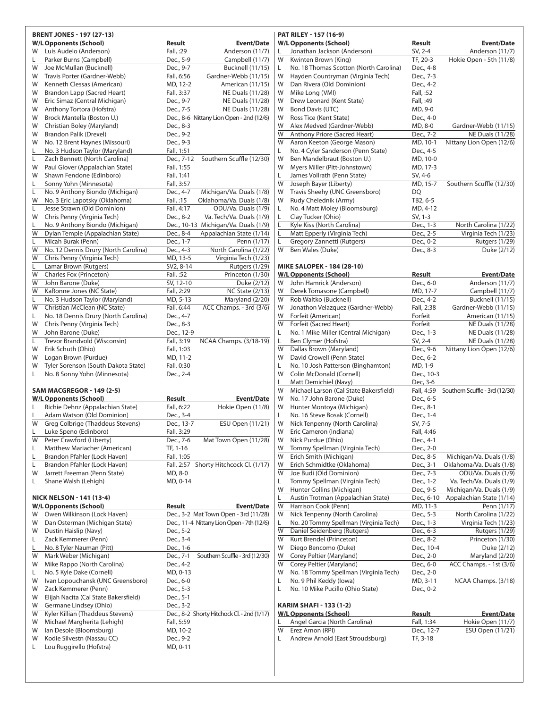|         | <b>BRENT JONES - 197 (27-13)</b>                                     |                                                                    |
|---------|----------------------------------------------------------------------|--------------------------------------------------------------------|
|         | <b>W/L Opponents (School)</b>                                        | Result<br><b>Event/Date</b>                                        |
| W       | Luis Audelo (Anderson)                                               | Fall, :29<br>Anderson (11/7)                                       |
| L.      | Parker Burns (Campbell)                                              | Dec., 5-9<br>Campbell (11/7)                                       |
| W       | Joe McMullan (Bucknell)                                              | Dec., 9-7<br>Bucknell (11/15)                                      |
| W<br>W  | Travis Porter (Gardner-Webb)<br>Kenneth Clessas (American)           | Gardner-Webb (11/15)<br>Fall, 6:56<br>MD, 12-2<br>American (11/15) |
| W       | Brandon Lapp (Sacred Heart)                                          | Fall, 3:37<br><b>NE Duals (11/28)</b>                              |
| W       | Eric Simaz (Central Michigan)                                        | NE Duals (11/28)<br>Dec., 9-7                                      |
| W       | Anthony Tortora (Hofstra)                                            | NE Duals (11/28)<br>Dec., 7-5                                      |
| W       | Brock Mantella (Boston U.)                                           | Dec., 8-6 Nittany Lion Open - 2nd (12/6)                           |
| W       | Christian Boley (Maryland)                                           | Dec., 8-3                                                          |
| W       | Brandon Palik (Drexel)                                               | Dec., 9-2                                                          |
| W       | No. 12 Brent Haynes (Missouri)                                       | Dec., 9-3                                                          |
| L.      | No. 3 Hudson Taylor (Maryland)                                       | Fall, 1:51                                                         |
| L       | Zach Bennett (North Carolina)                                        | Southern Scuffle (12/30)<br>Dec., 7-12                             |
| W       | Paul Glover (Appalachian State)                                      | Fall, 1:55                                                         |
| W       | Shawn Fendone (Edinboro)                                             | Fall, 1:41                                                         |
| L.<br>L | Sonny Yohn (Minnesota)<br>No. 9 Anthony Biondo (Michigan)            | Fall, 3:57<br>Michigan/Va. Duals (1/8)                             |
| W       | No. 3 Eric Lapotsky (Oklahoma)                                       | Dec., 4-7<br>Oklahoma/Va. Duals (1/8)<br>Fall, :15                 |
| L       | Jesse Strawn (Old Dominion)                                          | Fall, 4:17<br>ODU/Va. Duals (1/9)                                  |
| W       | Chris Penny (Virginia Tech)                                          | Dec., 8-2<br>Va. Tech/Va. Duals (1/9)                              |
| L       | No. 9 Anthony Biondo (Michigan)                                      | Michigan/Va. Duals (1/9)<br>Dec., 10-13                            |
| W       | Dylan Temple (Appalachian State)                                     | Dec., 8-4<br>Appalachian State (1/14)                              |
| Г       | Micah Burak (Penn)                                                   | Dec., 1-7<br>Penn (1/17)                                           |
| W       | No. 12 Dennis Drury (North Carolina)                                 | North Carolina (1/22)<br>Dec., 4-3                                 |
| W       | Chris Penny (Virginia Tech)                                          | Virginia Tech (1/23)<br>MD, 13-5                                   |
| Г       | Lamar Brown (Rutgers)                                                | SV2, 8-14<br><b>Rutgers (1/29)</b>                                 |
| W       | Charles Fox (Princeton)                                              | Fall, :52<br>Princeton (1/30)                                      |
| W       | John Barone (Duke)                                                   | SV, 12-10<br>Duke (2/12)                                           |
| W       | KaRonne Jones (NC State)                                             | Fall, 2:29<br><b>NC State (2/13)</b>                               |
| L       | No. 3 Hudson Taylor (Maryland)                                       | Maryland (2/20)<br>MD, 5-13                                        |
| W<br>L  | Christian McClean (NC State)<br>No. 18 Dennis Drury (North Carolina) | ACC Champs. - 3rd (3/6)<br>Fall, 6:44<br>Dec., 4-7                 |
| W       | Chris Penny (Virginia Tech)                                          | Dec., 8-3                                                          |
| W       | John Barone (Duke)                                                   | Dec., 12-9                                                         |
| L       | Trevor Brandvold (Wisconsin)                                         | NCAA Champs. (3/18-19)<br>Fall, 3:19                               |
| W       | Erik Schuth (Ohio)                                                   | Fall, 1:03                                                         |
| W       | Logan Brown (Purdue)                                                 | MD, 11-2                                                           |
| W       | Tyler Sorenson (South Dakota State)                                  | Fall, 0:30                                                         |
| L       | No. 8 Sonny Yohn (Minnesota)                                         | Dec., 2-4                                                          |
|         |                                                                      |                                                                    |
|         | <b>SAM MACGREGOR - 149 (2-5)</b><br><b>W/L Opponents (School)</b>    | Result<br><b>Event/Date</b>                                        |
| L       | Richie Dehnz (Appalachian State)                                     | Fall, 6:22<br>Hokie Open (11/8)                                    |
| L.      | Adam Watson (Old Dominion)                                           | Dec., 3-4                                                          |
| W       | Greg Colbrige (Thaddeus Stevens)                                     | ESU Open (11/21)<br>Dec., 13-7                                     |
| L       | Luke Speno (Edinboro)                                                | Fall, 3:29                                                         |
| W       | Peter Crawford (Liberty)                                             | Dec., 7-6<br>Mat Town Open (11/28)                                 |
| L       | Matthew Mariacher (American)                                         | TF, 1-16                                                           |
| L       | Brandon Pfahler (Lock Haven)                                         | Fall, 1:05                                                         |
| L       | Brandon Pfahler (Lock Haven)                                         | Shorty Hitchcock Cl. (1/17)<br>Fall, 2:57                          |
| W       | Jarrett Freeman (Penn State)                                         | MD, 8-0                                                            |
| L       | Shane Walsh (Lehigh)                                                 | MD, 0-14                                                           |
|         | <b>NICK NELSON - 141 (13-4)</b>                                      |                                                                    |
|         | <b>W/L Opponents (School)</b>                                        | <b>Result</b><br><b>Event/Date</b>                                 |
| W       | Owen Wilkinson (Lock Haven)                                          | Dec., 3-2 Mat Town Open - 3rd (11/28)                              |
| W       | Dan Osterman (Michigan State)                                        | Dec., 11-4 Nittany Lion Open - 7th (12/6)                          |
| W       | Dustin Haislip (Navy)                                                | Dec., 5-2                                                          |
| Г       | Zack Kemmerer (Penn)                                                 | Dec., 3-4                                                          |
| L.      | No. 8 Tyler Nauman (Pitt)                                            | Dec., 1-6                                                          |
| W       | Mark Weber (Michigan)                                                | Southern Scuffle - 3rd (12/30)<br>Dec., 7-1                        |
| W       | Mike Rappo (North Carolina)                                          | Dec., 4-2                                                          |
| L       | No. 5 Kyle Dake (Cornell)                                            | MD, 0-13                                                           |
| W       | Ivan Lopouchansk (UNC Greensboro)                                    | Dec., 6-0                                                          |
| W<br>W  | Zack Kemmerer (Penn)<br>Elijah Nacita (Cal State Bakersfield)        | Dec., 5-3<br>Dec., 5-1                                             |
| W       | Germane Lindsey (Ohio)                                               | Dec., 3-2                                                          |
| W       | Kyler Killian (Thaddeus Stevens)                                     | Dec., 8-2 Shorty Hitchock Cl. - 2nd (1/17)                         |
| W       | Michael Margherita (Lehigh)                                          | Fall, 5:59                                                         |
| W       | lan Desole (Bloomsburg)                                              | MD, 10-2                                                           |
| W       | Kodie Silvestn (Nassau CC)                                           | Dec., 9-2                                                          |
| Г       | Lou Ruggirello (Hofstra)                                             | MD, 0-11                                                           |
|         |                                                                      |                                                                    |

#### **pat riley - 157 (16-9) W/LOpponents (School) Result Event/Date** L Jonathan Jackson (Anderson) SV, 2-4 Anderson (11/7)<br>W Kwinten Brown (King) TF, 20-3 Hokie Open - 5th (11/8) W Kwinten Brown (King) TF, 20-3 Hokie Open - 5th (11/8) L No. 18 Thomas Scotton (North Carolina) Dec., 4-8 W Hayden Countryman (Virginia Tech) Dec., 7-3 W Dan Rivera (Old Dominion) Dec., 4-2 W Mike Long (VMI) Fall, :52 W Drew Leonard (Kent State) Fall, :49<br>
W Bond Davis (UTC) MD, 9-0 W Bond Davis (UTC) W Ross Tice (Kent State) Dec., 4-0 W Alex Medved (Gardner-Webb) MD, 8-0 Gardner-Webb (11/15) W Anthony Priore (Sacred Heart) Dec., 7-2 NE Duals (11/28) W Aaron Keeton (George Mason) MD, 10-1 Nittany Lion Open (12/6) L No. 4 Cyler Sanderson (Penn State) Dec., 4-5 W Ben Mandelbraut (Boston U.) MD, 10-0 W Myers Miller (Pitt-Johnstown) MD, 17-3 L James Vollrath (Penn State) SV, 4-6 W Joseph Bayer (Liberty) MD, 15-7 Southern Scuffle (12/30) W Travis Sheehy (UNC Greensboro) DQ W Rudy Chelednik (Army) TB2, 6-5 L No. 4 Matt Moley (Bloomsburg) MD, 4-12 Clay Tucker (Ohio) SV, 1-3<br>
Kyle Kiss (North Carolina) Dec., 1-3 L Kyle Kiss (North Carolina) Dec., 1-3 North Carolina (1/22) Matt Epperly (Virginia Tech) Dec., 2-5 Virginia Tech (1/23) Gregory Zannetti (Rutgers) Dec., 0-2 Rutgers (1/29) W Ben Wales (Duke) Dec., 8-3 Duke (2/12) **Mike salopek - 184 (28-10) W/LOpponents (School) Result Event/Date** W John Hamrick (Anderson) Dec., 6-0 Anderson (11/7) W Derek Tomasone (Campbell) MD, 17-7 Campbell (11/7) W Rob Waltko (Bucknell) Dec., 4-2 Bucknell (11/15) W Jonathon Velazquez (Gardner-Webb) Fall, 2:38 Gardner-Webb (11/15) W Forfeit (American) Forfeit American (11/15) W Forfeit (Sacred Heart) Forfeit NE Duals (11/28) L No. 1 Mike Miller (Central Michigan) Dec., 1-3 NE Duals (11/28) Ben Clymer (Hofstra) SV, 2-4 NE Duals (11/28) W Dallas Brown (Maryland) Dec., 9-6 Nittany Lion Open (12/6) W David Crowell (Penn State) Dec., 6-2 L No. 10 Josh Patterson (Binghamton) MD, 1-9 W Colin McDonald (Cornell) Dec., 10-3 L Matt Demichiel (Navy) Dec, 3-6 W Michael Larson (Cal State Bakersfield) Fall, 4:59 Southern Scuffle - 3rd (12/30) W No. 17 John Barone (Duke) Dec., 6-5 W Hunter Montoya (Michigan) Dec., 8-1 L No. 16 Steve Bosak (Cornell) Dec., 1-4 W Nick Tenpenny (North Carolina) SV, 7-5 W Eric Cameron (Indiana) Fall, 4:46 W Nick Purdue (Ohio) Dec., 4-1 W Tommy Spellman (Virginia Tech) Dec., 2-0 W Erich Smith (Michigan) Dec., 8-5 Michigan/Va. Duals (1/8) W Erich Schmidtke (Oklahoma) Dec., 3-1 Oklahoma/Va. Duals (1/8) W Joe Budi (Old Dominion) Dec., 7-3 ODU/Va. Duals (1/9) L Tommy Spellman (Virginia Tech) Dec., 1-2 Va. Tech/Va. Duals (1/9) W Hunter Collins (Michigan) Dec., 9-5 Michigan/Va. Duals (1/9) Austin Trotman (Appalachian State) Dec., 6-10 Appalachian State (1/14) W Harrison Cook (Penn) MD, 11-3 Penn (1/17) W Nick Tenpenny (North Carolina) Dec., 5-3 North Carolina (1/22) L No. 20 Tommy Spellman (Virginia Tech) Dec., 1-3 Virginia Tech (1/23) W Daniel Seidenberg (Rutgers) Dec., 6-3 Rutgers (1/29) W Kurt Brendel (Princeton) Dec., 8-2 Princeton (1/30) W Diego Bencomo (Duke) Dec., 10-4 Duke (2/12) W Corey Peltier (Maryland) Dec., 2-0 Maryland (2/20) W Corey Peltier (Maryland) Dec., 6-0 ACC Champs. - 1st (3/6) W No. 18 Tommy Spellman (Virginia Tech) Dec., 2-0 L No. 9 Phil Keddy (Iowa) MD, 3-11 NCAA Champs. (3/18) L No. 10 Mike Pucillo (Ohio State) Dec., 0-2 **karim shafi - 133 (1-2) W/LOpponents (School) Result Event/Date**

| Angel Garcia (North Carolina)    | Fall, 1:34 | Hokie Open (11/7) |
|----------------------------------|------------|-------------------|
| W Erez Arnon (RPI)               | Dec., 12-7 | ESU Open (11/21)  |
| Andrew Arnold (East Stroudsburg) | TF, 3-18   |                   |